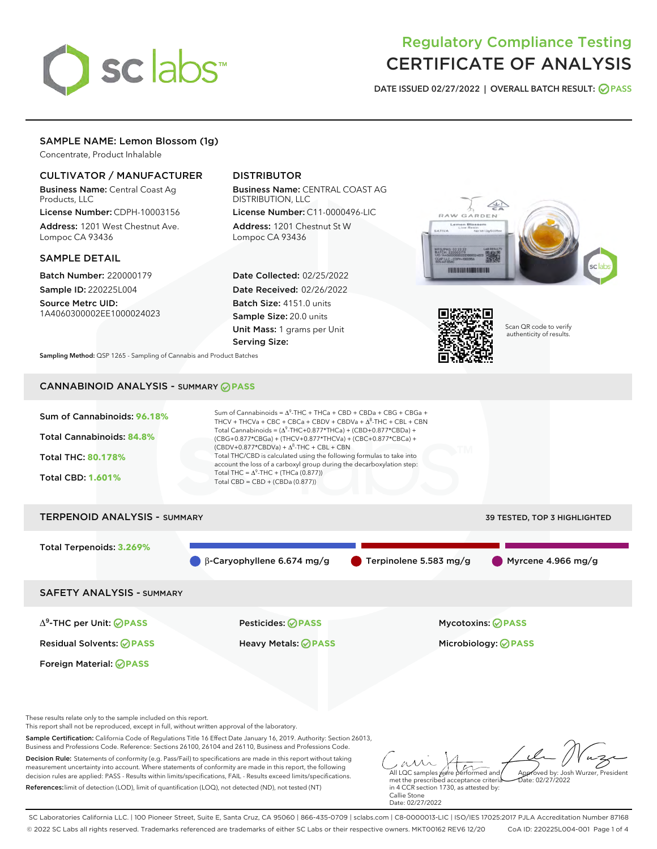

# Regulatory Compliance Testing CERTIFICATE OF ANALYSIS

DATE ISSUED 02/27/2022 | OVERALL BATCH RESULT: @ PASS

# SAMPLE NAME: Lemon Blossom (1g)

Concentrate, Product Inhalable

# CULTIVATOR / MANUFACTURER

Business Name: Central Coast Ag Products, LLC

License Number: CDPH-10003156 Address: 1201 West Chestnut Ave. Lompoc CA 93436

#### SAMPLE DETAIL

Batch Number: 220000179 Sample ID: 220225L004

Source Metrc UID: 1A4060300002EE1000024023

# DISTRIBUTOR

Business Name: CENTRAL COAST AG DISTRIBUTION, LLC License Number: C11-0000496-LIC

Address: 1201 Chestnut St W Lompoc CA 93436

Date Collected: 02/25/2022 Date Received: 02/26/2022 Batch Size: 4151.0 units Sample Size: 20.0 units Unit Mass: 1 grams per Unit Serving Size:





Scan QR code to verify authenticity of results.

Sampling Method: QSP 1265 - Sampling of Cannabis and Product Batches

# CANNABINOID ANALYSIS - SUMMARY **PASS**



This report shall not be reproduced, except in full, without written approval of the laboratory.

Sample Certification: California Code of Regulations Title 16 Effect Date January 16, 2019. Authority: Section 26013, Business and Professions Code. Reference: Sections 26100, 26104 and 26110, Business and Professions Code.

Decision Rule: Statements of conformity (e.g. Pass/Fail) to specifications are made in this report without taking measurement uncertainty into account. Where statements of conformity are made in this report, the following decision rules are applied: PASS - Results within limits/specifications, FAIL - Results exceed limits/specifications. References:limit of detection (LOD), limit of quantification (LOQ), not detected (ND), not tested (NT)

All LQC samples were performed and met the prescribed acceptance criteria Approved by: Josh Wurzer, President  $ate: 02/27/2022$ 

in 4 CCR section 1730, as attested by: Callie Stone Date: 02/27/2022

SC Laboratories California LLC. | 100 Pioneer Street, Suite E, Santa Cruz, CA 95060 | 866-435-0709 | sclabs.com | C8-0000013-LIC | ISO/IES 17025:2017 PJLA Accreditation Number 87168 © 2022 SC Labs all rights reserved. Trademarks referenced are trademarks of either SC Labs or their respective owners. MKT00162 REV6 12/20 CoA ID: 220225L004-001 Page 1 of 4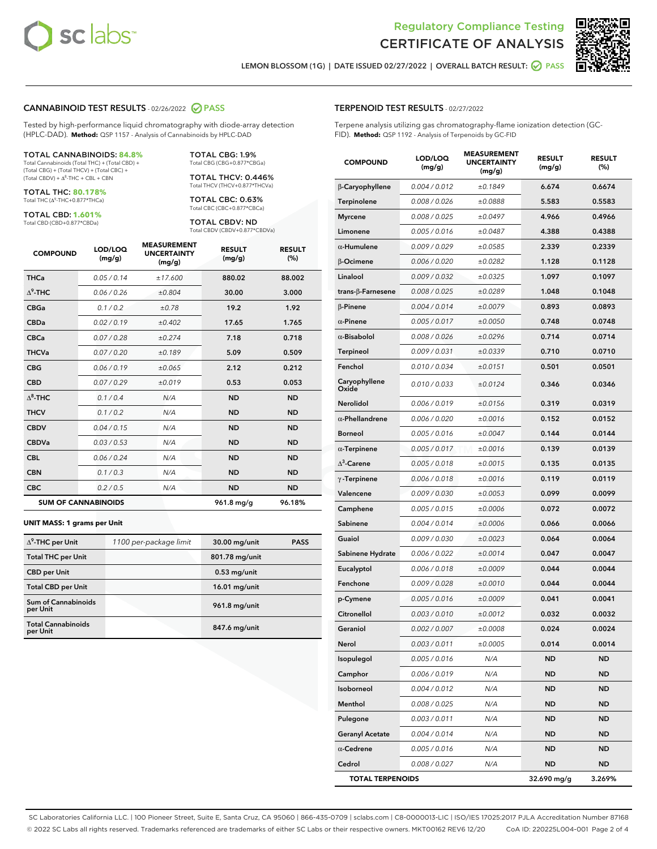



LEMON BLOSSOM (1G) | DATE ISSUED 02/27/2022 | OVERALL BATCH RESULT: **○** PASS

### CANNABINOID TEST RESULTS - 02/26/2022 2 PASS

Tested by high-performance liquid chromatography with diode-array detection (HPLC-DAD). **Method:** QSP 1157 - Analysis of Cannabinoids by HPLC-DAD

#### TOTAL CANNABINOIDS: **84.8%**

Total Cannabinoids (Total THC) + (Total CBD) + (Total CBG) + (Total THCV) + (Total CBC) +  $(Total CBDV) +  $\Delta^8$ -THC + CBL + CBN$ 

TOTAL THC: **80.178%** Total THC (Δ<sup>9</sup>-THC+0.877\*THCa)

TOTAL CBD: **1.601%** Total CBD (CBD+0.877\*CBDa)

TOTAL THCV: 0.446% Total THCV (THCV+0.877\*THCVa)

TOTAL CBC: 0.63% Total CBC (CBC+0.877\*CBCa)

TOTAL CBG: 1.9% Total CBG (CBG+0.877\*CBGa)

TOTAL CBDV: ND Total CBDV (CBDV+0.877\*CBDVa)

| <b>COMPOUND</b>  | LOD/LOQ<br>(mg/g)          | <b>MEASUREMENT</b><br><b>UNCERTAINTY</b><br>(mg/g) | <b>RESULT</b><br>(mg/g) | <b>RESULT</b><br>(%) |
|------------------|----------------------------|----------------------------------------------------|-------------------------|----------------------|
| <b>THCa</b>      | 0.05/0.14                  | ±17.600                                            | 880.02                  | 88.002               |
| $\Lambda^9$ -THC | 0.06 / 0.26                | ±0.804                                             | 30.00                   | 3.000                |
| <b>CBGa</b>      | 0.1/0.2                    | ±0.78                                              | 19.2                    | 1.92                 |
| <b>CBDa</b>      | 0.02/0.19                  | ±0.402                                             | 17.65                   | 1.765                |
| <b>CBCa</b>      | 0.07/0.28                  | ±0.274                                             | 7.18                    | 0.718                |
| <b>THCVa</b>     | 0.07/0.20                  | ±0.189                                             | 5.09                    | 0.509                |
| <b>CBG</b>       | 0.06/0.19                  | ±0.065                                             | 2.12                    | 0.212                |
| <b>CBD</b>       | 0.07/0.29                  | ±0.019                                             | 0.53                    | 0.053                |
| $\Lambda^8$ -THC | 0.1/0.4                    | N/A                                                | <b>ND</b>               | <b>ND</b>            |
| <b>THCV</b>      | 0.1/0.2                    | N/A                                                | <b>ND</b>               | <b>ND</b>            |
| <b>CBDV</b>      | 0.04 / 0.15                | N/A                                                | <b>ND</b>               | <b>ND</b>            |
| <b>CBDVa</b>     | 0.03/0.53                  | N/A                                                | <b>ND</b>               | <b>ND</b>            |
| <b>CBL</b>       | 0.06 / 0.24                | N/A                                                | <b>ND</b>               | <b>ND</b>            |
| <b>CBN</b>       | 0.1 / 0.3                  | N/A                                                | <b>ND</b>               | <b>ND</b>            |
| <b>CBC</b>       | 0.2 / 0.5                  | N/A                                                | <b>ND</b>               | <b>ND</b>            |
|                  | <b>SUM OF CANNABINOIDS</b> |                                                    | 961.8 mg/g              | 96.18%               |

#### **UNIT MASS: 1 grams per Unit**

| $\Delta^9$ -THC per Unit              | 1100 per-package limit | 30.00 mg/unit   | <b>PASS</b> |
|---------------------------------------|------------------------|-----------------|-------------|
| <b>Total THC per Unit</b>             |                        | 801.78 mg/unit  |             |
| <b>CBD</b> per Unit                   |                        | $0.53$ mg/unit  |             |
| <b>Total CBD per Unit</b>             |                        | $16.01$ mg/unit |             |
| Sum of Cannabinoids<br>per Unit       |                        | 961.8 mg/unit   |             |
| <b>Total Cannabinoids</b><br>per Unit |                        | 847.6 mg/unit   |             |

#### TERPENOID TEST RESULTS - 02/27/2022

Terpene analysis utilizing gas chromatography-flame ionization detection (GC-FID). **Method:** QSP 1192 - Analysis of Terpenoids by GC-FID

| <b>COMPOUND</b>           | LOD/LOQ<br>(mg/g) | <b>MEASUREMENT</b><br><b>UNCERTAINTY</b><br>(mg/g) | <b>RESULT</b><br>(mg/g) | <b>RESULT</b><br>$(\%)$ |
|---------------------------|-------------------|----------------------------------------------------|-------------------------|-------------------------|
| β-Caryophyllene           | 0.004 / 0.012     | ±0.1849                                            | 6.674                   | 0.6674                  |
| Terpinolene               | 0.008 / 0.026     | ±0.0888                                            | 5.583                   | 0.5583                  |
| <b>Myrcene</b>            | 0.008 / 0.025     | ±0.0497                                            | 4.966                   | 0.4966                  |
| Limonene                  | 0.005 / 0.016     | ±0.0487                                            | 4.388                   | 0.4388                  |
| $\alpha$ -Humulene        | 0.009/0.029       | ±0.0585                                            | 2.339                   | 0.2339                  |
| β-Ocimene                 | 0.006 / 0.020     | ±0.0282                                            | 1.128                   | 0.1128                  |
| Linalool                  | 0.009 / 0.032     | ±0.0325                                            | 1.097                   | 0.1097                  |
| trans- $\beta$ -Farnesene | 0.008 / 0.025     | ±0.0289                                            | 1.048                   | 0.1048                  |
| $\beta$ -Pinene           | 0.004 / 0.014     | ±0.0079                                            | 0.893                   | 0.0893                  |
| $\alpha$ -Pinene          | 0.005 / 0.017     | ±0.0050                                            | 0.748                   | 0.0748                  |
| $\alpha$ -Bisabolol       | 0.008 / 0.026     | ±0.0296                                            | 0.714                   | 0.0714                  |
| <b>Terpineol</b>          | 0.009 / 0.031     | ±0.0339                                            | 0.710                   | 0.0710                  |
| Fenchol                   | 0.010 / 0.034     | ±0.0151                                            | 0.501                   | 0.0501                  |
| Caryophyllene<br>Oxide    | 0.010 / 0.033     | ±0.0124                                            | 0.346                   | 0.0346                  |
| <b>Nerolidol</b>          | 0.006 / 0.019     | ±0.0156                                            | 0.319                   | 0.0319                  |
| $\alpha$ -Phellandrene    | 0.006 / 0.020     | ±0.0016                                            | 0.152                   | 0.0152                  |
| <b>Borneol</b>            | 0.005 / 0.016     | ±0.0047                                            | 0.144                   | 0.0144                  |
| $\alpha$ -Terpinene       | 0.005 / 0.017     | ±0.0016                                            | 0.139                   | 0.0139                  |
| $\Delta^3$ -Carene        | 0.005 / 0.018     | ±0.0015                                            | 0.135                   | 0.0135                  |
| $\gamma$ -Terpinene       | 0.006 / 0.018     | ±0.0016                                            | 0.119                   | 0.0119                  |
| Valencene                 | 0.009 / 0.030     | ±0.0053                                            | 0.099                   | 0.0099                  |
| Camphene                  | 0.005 / 0.015     | ±0.0006                                            | 0.072                   | 0.0072                  |
| Sabinene                  | 0.004 / 0.014     | ±0.0006                                            | 0.066                   | 0.0066                  |
| Guaiol                    | 0.009 / 0.030     | ±0.0023                                            | 0.064                   | 0.0064                  |
| Sabinene Hydrate          | 0.006 / 0.022     | ±0.0014                                            | 0.047                   | 0.0047                  |
| Eucalyptol                | 0.006 / 0.018     | ±0.0009                                            | 0.044                   | 0.0044                  |
| Fenchone                  | 0.009/0.028       | ±0.0010                                            | 0.044                   | 0.0044                  |
| p-Cymene                  | 0.005 / 0.016     | ±0.0009                                            | 0.041                   | 0.0041                  |
| Citronellol               | 0.003 / 0.010     | ±0.0012                                            | 0.032                   | 0.0032                  |
| Geraniol                  | 0.002 / 0.007     | ±0.0008                                            | 0.024                   | 0.0024                  |
| Nerol                     | 0.003 / 0.011     | ±0.0005                                            | 0.014                   | 0.0014                  |
| Isopulegol                | 0.005 / 0.016     | N/A                                                | <b>ND</b>               | <b>ND</b>               |
| Camphor                   | 0.006 / 0.019     | N/A                                                | ND                      | <b>ND</b>               |
| Isoborneol                | 0.004 / 0.012     | N/A                                                | ND                      | ND                      |
| Menthol                   | 0.008 / 0.025     | N/A                                                | ND                      | ND                      |
| Pulegone                  | 0.003 / 0.011     | N/A                                                | ND                      | ND                      |
| <b>Geranyl Acetate</b>    | 0.004 / 0.014     | N/A                                                | ND                      | ND                      |
| $\alpha$ -Cedrene         | 0.005 / 0.016     | N/A                                                | ND                      | ND                      |
| Cedrol                    | 0.008 / 0.027     | N/A                                                | ND                      | ND                      |
| <b>TOTAL TERPENOIDS</b>   |                   | 32.690 mg/g                                        | 3.269%                  |                         |

SC Laboratories California LLC. | 100 Pioneer Street, Suite E, Santa Cruz, CA 95060 | 866-435-0709 | sclabs.com | C8-0000013-LIC | ISO/IES 17025:2017 PJLA Accreditation Number 87168 © 2022 SC Labs all rights reserved. Trademarks referenced are trademarks of either SC Labs or their respective owners. MKT00162 REV6 12/20 CoA ID: 220225L004-001 Page 2 of 4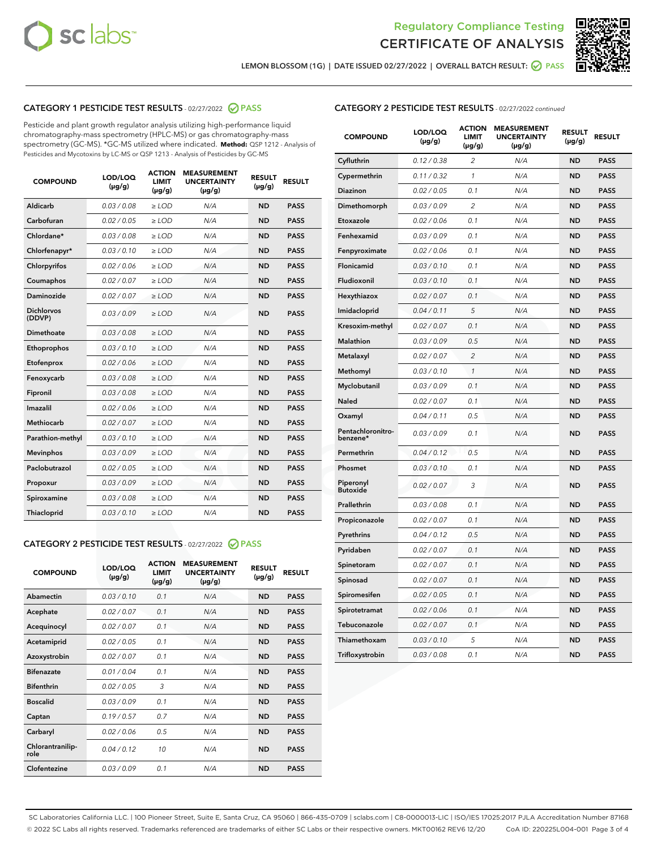



LEMON BLOSSOM (1G) | DATE ISSUED 02/27/2022 | OVERALL BATCH RESULT: @ PASS

# CATEGORY 1 PESTICIDE TEST RESULTS - 02/27/2022 2 PASS

Pesticide and plant growth regulator analysis utilizing high-performance liquid chromatography-mass spectrometry (HPLC-MS) or gas chromatography-mass spectrometry (GC-MS). \*GC-MS utilized where indicated. **Method:** QSP 1212 - Analysis of Pesticides and Mycotoxins by LC-MS or QSP 1213 - Analysis of Pesticides by GC-MS

| 0.03 / 0.08<br>Aldicarb<br>$\ge$ LOD<br>N/A<br><b>ND</b><br><b>PASS</b><br>Carbofuran<br><b>ND</b><br>0.02 / 0.05<br>$\ge$ LOD<br>N/A<br><b>PASS</b><br>Chlordane*<br>0.03 / 0.08<br>$\ge$ LOD<br>N/A<br><b>ND</b><br><b>PASS</b><br>Chlorfenapyr*<br>0.03/0.10<br>N/A<br><b>ND</b><br><b>PASS</b><br>$\ge$ LOD<br>Chlorpyrifos<br>0.02/0.06<br>$>$ LOD<br>N/A<br><b>ND</b><br><b>PASS</b><br>0.02 / 0.07<br>N/A<br><b>ND</b><br>Coumaphos<br>$\ge$ LOD<br><b>PASS</b><br>Daminozide<br>0.02 / 0.07<br>N/A<br><b>ND</b><br>$\ge$ LOD<br><b>PASS</b><br><b>Dichlorvos</b><br>0.03/0.09<br>N/A<br>$>$ LOD<br><b>ND</b><br><b>PASS</b><br>(DDVP)<br>Dimethoate<br>0.03 / 0.08<br>N/A<br><b>ND</b><br><b>PASS</b><br>$\ge$ LOD<br><b>ND</b><br><b>PASS</b><br>0.03/0.10<br>$>$ LOD<br>N/A<br>Ethoprophos<br>0.02 / 0.06<br><b>ND</b><br><b>PASS</b><br>Etofenprox<br>$\ge$ LOD<br>N/A<br>0.03 / 0.08<br>N/A<br><b>ND</b><br><b>PASS</b><br>Fenoxycarb<br>$\ge$ LOD<br>0.03 / 0.08<br>N/A<br><b>ND</b><br><b>PASS</b><br>Fipronil<br>$\ge$ LOD<br>Imazalil<br>0.02 / 0.06<br>$>$ LOD<br>N/A<br><b>ND</b><br><b>PASS</b><br><b>Methiocarb</b><br>0.02 / 0.07<br><b>ND</b><br><b>PASS</b><br>$\ge$ LOD<br>N/A<br>0.03/0.10<br>N/A<br><b>ND</b><br><b>PASS</b><br>Parathion-methyl<br>$\ge$ LOD<br>0.03/0.09<br>N/A<br><b>ND</b><br><b>PASS</b><br><b>Mevinphos</b><br>$\ge$ LOD<br>Paclobutrazol<br>0.02 / 0.05<br>N/A<br><b>ND</b><br><b>PASS</b><br>$\ge$ LOD<br>0.03/0.09<br>$>$ LOD<br>N/A<br><b>ND</b><br><b>PASS</b><br>Propoxur<br>0.03 / 0.08<br>$\ge$ LOD<br>N/A<br><b>ND</b><br><b>PASS</b><br>Spiroxamine<br>0.03/0.10<br>N/A<br><b>ND</b><br><b>PASS</b><br>Thiacloprid<br>$\ge$ LOD | <b>COMPOUND</b> | LOD/LOQ<br>$(\mu g/g)$ | <b>ACTION</b><br><b>LIMIT</b><br>$(\mu g/g)$ | <b>MEASUREMENT</b><br><b>UNCERTAINTY</b><br>$(\mu g/g)$ | <b>RESULT</b><br>$(\mu g/g)$ | <b>RESULT</b> |
|-------------------------------------------------------------------------------------------------------------------------------------------------------------------------------------------------------------------------------------------------------------------------------------------------------------------------------------------------------------------------------------------------------------------------------------------------------------------------------------------------------------------------------------------------------------------------------------------------------------------------------------------------------------------------------------------------------------------------------------------------------------------------------------------------------------------------------------------------------------------------------------------------------------------------------------------------------------------------------------------------------------------------------------------------------------------------------------------------------------------------------------------------------------------------------------------------------------------------------------------------------------------------------------------------------------------------------------------------------------------------------------------------------------------------------------------------------------------------------------------------------------------------------------------------------------------------------------------------------------------------------------------------------------------------------------------|-----------------|------------------------|----------------------------------------------|---------------------------------------------------------|------------------------------|---------------|
|                                                                                                                                                                                                                                                                                                                                                                                                                                                                                                                                                                                                                                                                                                                                                                                                                                                                                                                                                                                                                                                                                                                                                                                                                                                                                                                                                                                                                                                                                                                                                                                                                                                                                           |                 |                        |                                              |                                                         |                              |               |
|                                                                                                                                                                                                                                                                                                                                                                                                                                                                                                                                                                                                                                                                                                                                                                                                                                                                                                                                                                                                                                                                                                                                                                                                                                                                                                                                                                                                                                                                                                                                                                                                                                                                                           |                 |                        |                                              |                                                         |                              |               |
|                                                                                                                                                                                                                                                                                                                                                                                                                                                                                                                                                                                                                                                                                                                                                                                                                                                                                                                                                                                                                                                                                                                                                                                                                                                                                                                                                                                                                                                                                                                                                                                                                                                                                           |                 |                        |                                              |                                                         |                              |               |
|                                                                                                                                                                                                                                                                                                                                                                                                                                                                                                                                                                                                                                                                                                                                                                                                                                                                                                                                                                                                                                                                                                                                                                                                                                                                                                                                                                                                                                                                                                                                                                                                                                                                                           |                 |                        |                                              |                                                         |                              |               |
|                                                                                                                                                                                                                                                                                                                                                                                                                                                                                                                                                                                                                                                                                                                                                                                                                                                                                                                                                                                                                                                                                                                                                                                                                                                                                                                                                                                                                                                                                                                                                                                                                                                                                           |                 |                        |                                              |                                                         |                              |               |
|                                                                                                                                                                                                                                                                                                                                                                                                                                                                                                                                                                                                                                                                                                                                                                                                                                                                                                                                                                                                                                                                                                                                                                                                                                                                                                                                                                                                                                                                                                                                                                                                                                                                                           |                 |                        |                                              |                                                         |                              |               |
|                                                                                                                                                                                                                                                                                                                                                                                                                                                                                                                                                                                                                                                                                                                                                                                                                                                                                                                                                                                                                                                                                                                                                                                                                                                                                                                                                                                                                                                                                                                                                                                                                                                                                           |                 |                        |                                              |                                                         |                              |               |
|                                                                                                                                                                                                                                                                                                                                                                                                                                                                                                                                                                                                                                                                                                                                                                                                                                                                                                                                                                                                                                                                                                                                                                                                                                                                                                                                                                                                                                                                                                                                                                                                                                                                                           |                 |                        |                                              |                                                         |                              |               |
|                                                                                                                                                                                                                                                                                                                                                                                                                                                                                                                                                                                                                                                                                                                                                                                                                                                                                                                                                                                                                                                                                                                                                                                                                                                                                                                                                                                                                                                                                                                                                                                                                                                                                           |                 |                        |                                              |                                                         |                              |               |
|                                                                                                                                                                                                                                                                                                                                                                                                                                                                                                                                                                                                                                                                                                                                                                                                                                                                                                                                                                                                                                                                                                                                                                                                                                                                                                                                                                                                                                                                                                                                                                                                                                                                                           |                 |                        |                                              |                                                         |                              |               |
|                                                                                                                                                                                                                                                                                                                                                                                                                                                                                                                                                                                                                                                                                                                                                                                                                                                                                                                                                                                                                                                                                                                                                                                                                                                                                                                                                                                                                                                                                                                                                                                                                                                                                           |                 |                        |                                              |                                                         |                              |               |
|                                                                                                                                                                                                                                                                                                                                                                                                                                                                                                                                                                                                                                                                                                                                                                                                                                                                                                                                                                                                                                                                                                                                                                                                                                                                                                                                                                                                                                                                                                                                                                                                                                                                                           |                 |                        |                                              |                                                         |                              |               |
|                                                                                                                                                                                                                                                                                                                                                                                                                                                                                                                                                                                                                                                                                                                                                                                                                                                                                                                                                                                                                                                                                                                                                                                                                                                                                                                                                                                                                                                                                                                                                                                                                                                                                           |                 |                        |                                              |                                                         |                              |               |
|                                                                                                                                                                                                                                                                                                                                                                                                                                                                                                                                                                                                                                                                                                                                                                                                                                                                                                                                                                                                                                                                                                                                                                                                                                                                                                                                                                                                                                                                                                                                                                                                                                                                                           |                 |                        |                                              |                                                         |                              |               |
|                                                                                                                                                                                                                                                                                                                                                                                                                                                                                                                                                                                                                                                                                                                                                                                                                                                                                                                                                                                                                                                                                                                                                                                                                                                                                                                                                                                                                                                                                                                                                                                                                                                                                           |                 |                        |                                              |                                                         |                              |               |
|                                                                                                                                                                                                                                                                                                                                                                                                                                                                                                                                                                                                                                                                                                                                                                                                                                                                                                                                                                                                                                                                                                                                                                                                                                                                                                                                                                                                                                                                                                                                                                                                                                                                                           |                 |                        |                                              |                                                         |                              |               |
|                                                                                                                                                                                                                                                                                                                                                                                                                                                                                                                                                                                                                                                                                                                                                                                                                                                                                                                                                                                                                                                                                                                                                                                                                                                                                                                                                                                                                                                                                                                                                                                                                                                                                           |                 |                        |                                              |                                                         |                              |               |
|                                                                                                                                                                                                                                                                                                                                                                                                                                                                                                                                                                                                                                                                                                                                                                                                                                                                                                                                                                                                                                                                                                                                                                                                                                                                                                                                                                                                                                                                                                                                                                                                                                                                                           |                 |                        |                                              |                                                         |                              |               |
|                                                                                                                                                                                                                                                                                                                                                                                                                                                                                                                                                                                                                                                                                                                                                                                                                                                                                                                                                                                                                                                                                                                                                                                                                                                                                                                                                                                                                                                                                                                                                                                                                                                                                           |                 |                        |                                              |                                                         |                              |               |
|                                                                                                                                                                                                                                                                                                                                                                                                                                                                                                                                                                                                                                                                                                                                                                                                                                                                                                                                                                                                                                                                                                                                                                                                                                                                                                                                                                                                                                                                                                                                                                                                                                                                                           |                 |                        |                                              |                                                         |                              |               |
|                                                                                                                                                                                                                                                                                                                                                                                                                                                                                                                                                                                                                                                                                                                                                                                                                                                                                                                                                                                                                                                                                                                                                                                                                                                                                                                                                                                                                                                                                                                                                                                                                                                                                           |                 |                        |                                              |                                                         |                              |               |

# CATEGORY 2 PESTICIDE TEST RESULTS - 02/27/2022 @ PASS

| <b>COMPOUND</b>          | LOD/LOQ<br>$(\mu g/g)$ | <b>ACTION</b><br><b>LIMIT</b><br>$(\mu g/g)$ | <b>MEASUREMENT</b><br><b>UNCERTAINTY</b><br>$(\mu g/g)$ | <b>RESULT</b><br>$(\mu g/g)$ | <b>RESULT</b> |  |
|--------------------------|------------------------|----------------------------------------------|---------------------------------------------------------|------------------------------|---------------|--|
| Abamectin                | 0.03/0.10              | 0.1                                          | N/A                                                     | <b>ND</b>                    | <b>PASS</b>   |  |
| Acephate                 | 0.02/0.07              | 0.1                                          | N/A                                                     | <b>ND</b>                    | <b>PASS</b>   |  |
| Acequinocyl              | 0.02/0.07              | 0.1                                          | N/A                                                     | <b>ND</b>                    | <b>PASS</b>   |  |
| Acetamiprid              | 0.02/0.05              | 0.1                                          | N/A                                                     | <b>ND</b>                    | <b>PASS</b>   |  |
| Azoxystrobin             | 0.02/0.07              | 0.1                                          | N/A                                                     | <b>ND</b>                    | <b>PASS</b>   |  |
| <b>Bifenazate</b>        | 0.01/0.04              | 0.1                                          | N/A                                                     | <b>ND</b>                    | <b>PASS</b>   |  |
| <b>Bifenthrin</b>        | 0.02 / 0.05            | 3                                            | N/A                                                     | <b>ND</b>                    | <b>PASS</b>   |  |
| <b>Boscalid</b>          | 0.03/0.09              | 0.1                                          | N/A                                                     | <b>ND</b>                    | <b>PASS</b>   |  |
| Captan                   | 0.19/0.57              | 0.7                                          | N/A                                                     | <b>ND</b>                    | <b>PASS</b>   |  |
| Carbaryl                 | 0.02/0.06              | 0.5                                          | N/A                                                     | <b>ND</b>                    | <b>PASS</b>   |  |
| Chlorantranilip-<br>role | 0.04/0.12              | 10                                           | N/A                                                     | <b>ND</b>                    | <b>PASS</b>   |  |
| Clofentezine             | 0.03/0.09              | 0.1                                          | N/A                                                     | <b>ND</b>                    | <b>PASS</b>   |  |

| <b>COMPOUND</b>               | LOD/LOQ<br>$(\mu g/g)$ | <b>ACTION</b><br><b>LIMIT</b><br>$(\mu g/g)$ | <b>MEASUREMENT</b><br><b>UNCERTAINTY</b><br>(µg/g) | <b>RESULT</b><br>$(\mu g/g)$ | <b>RESULT</b> |
|-------------------------------|------------------------|----------------------------------------------|----------------------------------------------------|------------------------------|---------------|
| Cyfluthrin                    | 0.12 / 0.38            | $\overline{c}$                               | N/A                                                | <b>ND</b>                    | <b>PASS</b>   |
| Cypermethrin                  | 0.11 / 0.32            | 1                                            | N/A                                                | <b>ND</b>                    | <b>PASS</b>   |
| Diazinon                      | 0.02 / 0.05            | 0.1                                          | N/A                                                | <b>ND</b>                    | <b>PASS</b>   |
| Dimethomorph                  | 0.03 / 0.09            | $\overline{c}$                               | N/A                                                | <b>ND</b>                    | <b>PASS</b>   |
| Etoxazole                     | 0.02 / 0.06            | 0.1                                          | N/A                                                | <b>ND</b>                    | <b>PASS</b>   |
| Fenhexamid                    | 0.03 / 0.09            | 0.1                                          | N/A                                                | <b>ND</b>                    | <b>PASS</b>   |
| Fenpyroximate                 | 0.02 / 0.06            | 0.1                                          | N/A                                                | <b>ND</b>                    | <b>PASS</b>   |
| Flonicamid                    | 0.03 / 0.10            | 0.1                                          | N/A                                                | <b>ND</b>                    | <b>PASS</b>   |
| Fludioxonil                   | 0.03 / 0.10            | 0.1                                          | N/A                                                | <b>ND</b>                    | <b>PASS</b>   |
| Hexythiazox                   | 0.02 / 0.07            | 0.1                                          | N/A                                                | <b>ND</b>                    | <b>PASS</b>   |
| Imidacloprid                  | 0.04 / 0.11            | 5                                            | N/A                                                | <b>ND</b>                    | <b>PASS</b>   |
| Kresoxim-methyl               | 0.02 / 0.07            | 0.1                                          | N/A                                                | <b>ND</b>                    | PASS          |
| <b>Malathion</b>              | 0.03 / 0.09            | 0.5                                          | N/A                                                | <b>ND</b>                    | <b>PASS</b>   |
| Metalaxyl                     | 0.02 / 0.07            | $\overline{c}$                               | N/A                                                | <b>ND</b>                    | <b>PASS</b>   |
| Methomyl                      | 0.03 / 0.10            | $\mathcal{I}$                                | N/A                                                | <b>ND</b>                    | <b>PASS</b>   |
| Myclobutanil                  | 0.03 / 0.09            | 0.1                                          | N/A                                                | <b>ND</b>                    | <b>PASS</b>   |
| Naled                         | 0.02 / 0.07            | 0.1                                          | N/A                                                | <b>ND</b>                    | <b>PASS</b>   |
| Oxamyl                        | 0.04 / 0.11            | 0.5                                          | N/A                                                | <b>ND</b>                    | <b>PASS</b>   |
| Pentachloronitro-<br>benzene* | 0.03 / 0.09            | 0.1                                          | N/A                                                | <b>ND</b>                    | <b>PASS</b>   |
| Permethrin                    | 0.04 / 0.12            | 0.5                                          | N/A                                                | <b>ND</b>                    | <b>PASS</b>   |
| Phosmet                       | 0.03 / 0.10            | 0.1                                          | N/A                                                | <b>ND</b>                    | <b>PASS</b>   |
| Piperonyl<br><b>Butoxide</b>  | 0.02 / 0.07            | 3                                            | N/A                                                | <b>ND</b>                    | <b>PASS</b>   |
| Prallethrin                   | 0.03 / 0.08            | 0.1                                          | N/A                                                | <b>ND</b>                    | <b>PASS</b>   |
| Propiconazole                 | 0.02 / 0.07            | 0.1                                          | N/A                                                | <b>ND</b>                    | <b>PASS</b>   |
| Pyrethrins                    | 0.04 / 0.12            | 0.5                                          | N/A                                                | <b>ND</b>                    | <b>PASS</b>   |
| Pyridaben                     | 0.02 / 0.07            | 0.1                                          | N/A                                                | <b>ND</b>                    | PASS          |
| Spinetoram                    | 0.02 / 0.07            | 0.1                                          | N/A                                                | <b>ND</b>                    | <b>PASS</b>   |
| Spinosad                      | 0.02 / 0.07            | 0.1                                          | N/A                                                | <b>ND</b>                    | <b>PASS</b>   |
| Spiromesifen                  | 0.02 / 0.05            | 0.1                                          | N/A                                                | <b>ND</b>                    | PASS          |
| Spirotetramat                 | 0.02 / 0.06            | 0.1                                          | N/A                                                | ND                           | PASS          |
| Tebuconazole                  | 0.02 / 0.07            | 0.1                                          | N/A                                                | <b>ND</b>                    | <b>PASS</b>   |
| Thiamethoxam                  | 0.03 / 0.10            | 5                                            | N/A                                                | ND                           | <b>PASS</b>   |
| Trifloxystrobin               | 0.03 / 0.08            | 0.1                                          | N/A                                                | ND                           | <b>PASS</b>   |

SC Laboratories California LLC. | 100 Pioneer Street, Suite E, Santa Cruz, CA 95060 | 866-435-0709 | sclabs.com | C8-0000013-LIC | ISO/IES 17025:2017 PJLA Accreditation Number 87168 © 2022 SC Labs all rights reserved. Trademarks referenced are trademarks of either SC Labs or their respective owners. MKT00162 REV6 12/20 CoA ID: 220225L004-001 Page 3 of 4